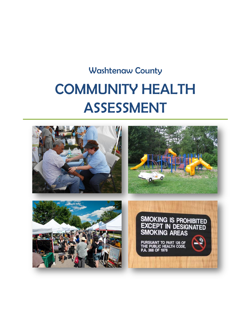# Washtenaw County COMMUNITY HEALTH ASSESSMENT

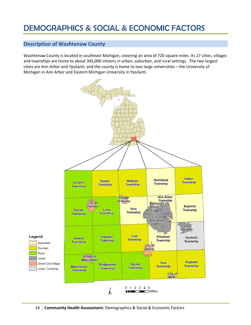# DEMOGRAPHICS & SOCIAL & ECONOMIC FACTORS

# **Description of Washtenaw County**

Washtenaw County is located in southeast Michigan, covering an area of 720 square miles. Its 27 cities, villages and townships are home to about 345,000 citizens in urban, suburban, and rural settings. The two largest cities are Ann Arbor and Ypsilanti, and the county is home to two large universities – the University of Michigan in Ann Arbor and Eastern Michigan University in Ypsilanti.

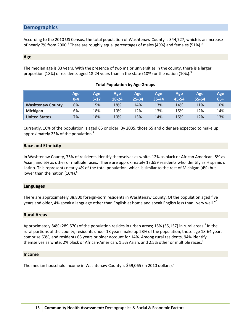## **Demographics**

According to the 2010 US Census, the total population of Washtenaw County is 344,727, which is an increase of nearly 7% from 2000.<sup>1</sup> There are roughly equal percentages of males (49%) and females (51%).<sup>2</sup>

#### **Age**

The median age is 33 years. With the presence of two major universities in the county, there is a larger proportion (18%) of residents aged 18-24 years than in the state (10%) or the nation (10%).<sup>3</sup>

|                         | Age<br>$0 - 4$ | Age<br>$5-17$ | Age<br>18-24 | Age<br>25-34 | Age<br>35-44 | <b>Age</b><br>45-54 | Age<br>$55 - 64$ | Age<br>$65+$ |
|-------------------------|----------------|---------------|--------------|--------------|--------------|---------------------|------------------|--------------|
| <b>Washtenaw County</b> | 6%             | 15%           | 18%          | 14%          | 13%          | 14%                 | 11%              | 10%          |
| <b>Michigan</b>         | 6%             | 18%           | 10%          | 12%          | 13%          | 15%                 | 12%              | 14%          |
| <b>United States</b>    | 7%             | 18%           | 10%          | 13%          | 14%          | 15%                 | 12%              | 13%          |

#### **Total Population by Age Groups**

Currently, 10% of the population is aged 65 or older. By 2035, those 65 and older are expected to make up approximately 23% of the population.<sup>4</sup>

#### **Race and Ethnicity**

In Washtenaw County, 75% of residents identify themselves as white, 12% as black or African American, 8% as Asian, and 5% as other or multiple races. There are approximately 13,659 residents who identify as Hispanic or Latino. This represents nearly 4% of the total population, which is similar to the rest of Michigan (4%) but lower than the nation (16%).<sup>5</sup>

#### **Languages**

There are approximately 38,800 foreign-born residents in Washtenaw County. Of the population aged five years and older, 4% speak a language other than English at home and speak English less than "very well."<sup>6</sup>

#### **Rural Areas**

Approximately 84% (289,570) of the population resides in urban areas; 16% (55,157) in rural areas.<sup>7</sup> In the rural portions of the county, residents under 18 years make up 23% of the population, those age 18-64 years comprise 63%, and residents 65 years or older account for 14%. Among rural residents, 94% identify themselves as white, 2% black or African-American, 1.5% Asian, and 2.5% other or multiple races.<sup>8</sup>

#### **Income**

The median household income in Washtenaw County is \$59,065 (in 2010 dollars).<sup>9</sup>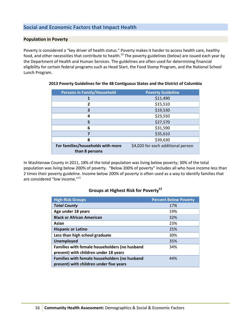# **Social and Economic Factors that Impact Health**

#### **Population in Poverty**

Poverty is considered a "key driver of health status." Poverty makes it harder to access health care, healthy food, and other necessities that contribute to health. $^{10}$  The poverty guidelines (below) are issued each year by the Department of Health and Human Services. The guidelines are often used for determining financial eligibility for certain federal programs such as Head Start, the Food Stamp Program, and the National School Lunch Program.

| <b>Persons in Family/Household</b> | <b>Poverty Guideline</b>           |  |
|------------------------------------|------------------------------------|--|
|                                    | \$11,490                           |  |
| 2                                  | \$15,510                           |  |
| 3                                  | \$19,530                           |  |
| 4                                  | \$23,550                           |  |
| 5                                  | \$27,570                           |  |
| 6                                  | \$31,590                           |  |
|                                    | \$35,610                           |  |
| 8                                  | \$39,630                           |  |
| For families/households with more  | \$4,020 for each additional person |  |
| than 8 persons                     |                                    |  |

#### **2013 Poverty Guidelines for the 48 Contiguous States and the District of Columbia**

In Washtenaw County in 2011, 18% of the total population was living below poverty; 30% of the total population was living below 200% of poverty. "Below 200% of poverty" includes all who have income less than 2 times their poverty guideline. Income below 200% of poverty is often used as a way to identify families that are considered "low income."<sup>11</sup>

#### **Groups at Highest Risk for Poverty<sup>12</sup>**

| <b>High-Risk Groups</b>                                                                  | <b>Percent Below Poverty</b> |
|------------------------------------------------------------------------------------------|------------------------------|
| <b>Total County</b>                                                                      | 17%                          |
| Age under 18 years                                                                       | 19%                          |
| <b>Black or African American</b>                                                         | 32%                          |
| Asian                                                                                    | 23%                          |
| <b>Hispanic or Latino</b>                                                                | 25%                          |
| Less than high school graduate                                                           | 30%                          |
| <b>Unemployed</b>                                                                        | 35%                          |
| Families with female householders (no husband<br>present) with children under 18 years   | 34%                          |
| Families with female householders (no husband<br>present) with children under five years | 44%                          |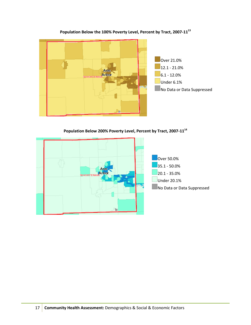

## **Population Below the 100% Poverty Level, Percent by Tract, 2007-11<sup>13</sup>**

**Population Below 200% Poverty Level, Percent by Tract, 2007-11<sup>14</sup>**

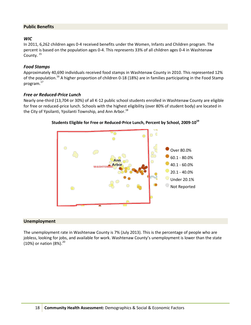#### **Public Benefits**

#### *WIC*

In 2011, 6,262 children ages 0-4 received benefits under the Women, Infants and Children program. The percent is based on the population ages 0-4. This represents 33% of all children ages 0-4 in Washtenaw County.<sup>15</sup>

#### *Food Stamps*

Approximately 40,690 individuals received food stamps in Washtenaw County in 2010. This represented 12% of the population.<sup>16</sup> A higher proportion of children 0-18 (18%) are in families participating in the Food Stamp program.<sup>17</sup>

#### *Free or Reduced-Price Lunch*

Nearly one-third (13,704 or 30%) of all K-12 public school students enrolled in Washtenaw County are eligible for free or reduced-price lunch. Schools with the highest eligibility (over 80% of student body) are located in the City of Ypsilanti, Ypsilanti Township, and Ann Arbor.<sup>18</sup>



#### **Students Eligible for Free or Reduced-Price Lunch, Percent by School, 2009-10<sup>19</sup>**

#### **Unemployment**

The unemployment rate in Washtenaw County is 7% (July 2013). This is the percentage of people who are jobless, looking for jobs, and available for work. Washtenaw County's unemployment is lower than the state (10%) or nation  $(8\%)$ .<sup>20</sup>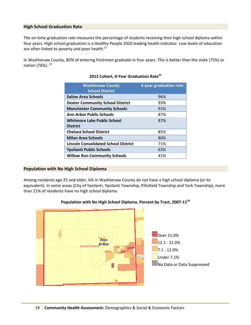#### **High School Graduation Rate**

The on-time graduation rate measures the percentage of students receiving their high school diploma within four years. High school graduation is a Healthy People 2020 leading health indicator. Low levels of education are often linked to poverty and poor health.<sup>21</sup>

In Washtenaw County, 85% of entering freshmen graduate in four years. This is better than the state (75%) or nation (76%).<sup>22</sup>

| <b>Washtenaw County</b><br><b>School District</b> | 4-year graduation rate |
|---------------------------------------------------|------------------------|
| <b>Saline Area Schools</b>                        | 96%                    |
| <b>Dexter Community School District</b>           | 93%                    |
| <b>Manchester Community Schools</b>               | 91%                    |
| <b>Ann Arbor Public Schools</b>                   | 87%                    |
| <b>Whitmore Lake Public School</b>                | 87%                    |
| <b>District</b>                                   |                        |
| <b>Chelsea School District</b>                    | 85%                    |
| <b>Milan Area Schools</b>                         | 80%                    |
| <b>Lincoln Consolidated School District</b>       | 71%                    |
| <b>Ypsilanti Public Schools</b>                   | 63%                    |
| <b>Willow Run Community Schools</b>               | 41%                    |

#### **2012 Cohort, 4-Year Graduation Rate<sup>23</sup>**

#### **Population with No High School Diploma**

Among residents age 25 and older, 6% in Washtenaw County do not have a high school diploma (or its equivalent). In some areas (City of Ypsilanti, Ypsilanti Township, Pittsfield Township and York Township), more than 21% of residents have no high school diploma.



#### **Population with No High School Diploma, Percent by Tract, 2007-11<sup>24</sup>**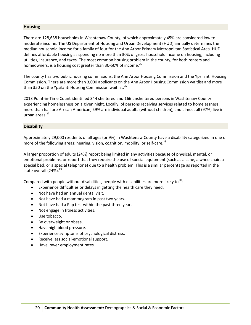#### **Housing**

There are 128,638 households in Washtenaw County, of which approximately 45% are considered low to moderate income. The US Department of Housing and Urban Development (HUD) annually determines the median household income for a family of four for the Ann Arbor Primary Metropolitan Statistical Area. HUD defines affordable housing as spending no more than 30% of gross household income on housing, including utilities, insurance, and taxes. The most common housing problem in the county, for both renters and homeowners, is a housing cost greater than 30-50% of income.<sup>25</sup>

The county has two public housing commissions: the Ann Arbor Housing Commission and the Ypsilanti Housing Commission. There are more than 3,000 applicants on the Ann Arbor Housing Commission waitlist and more than 350 on the Ypsilanti Housing Commission waitlist.<sup>26</sup>

2013 Point‐in‐Time Count identified 344 sheltered and 166 unsheltered persons in Washtenaw County experiencing homelessness on a given night. Locally, of persons receiving services related to homelessness, more than half are African American, 59% are individual adults (without children), and almost all (97%) live in urban areas. $27$ 

#### **Disability**

Approximately 29,000 residents of all ages (or 9%) in Washtenaw County have a disability categorized in one or more of the following areas: hearing, vision, cognition, mobility, or self-care.<sup>28</sup>

A larger proportion of adults (24%) report being limited in any activities because of physical, mental, or emotional problems, or report that they require the use of special equipment (such as a cane, a wheelchair, a special bed, or a special telephone) due to a health problem. This is a similar percentage as reported in the state overall (24%).<sup>29</sup>

Compared with people without disabilities, people with disabilities are more likely to<sup>30</sup>:

- Experience difficulties or delays in getting the health care they need.
- Not have had an annual dental visit.
- Not have had a mammogram in past two years.
- Not have had a Pap test within the past three years.
- Not engage in fitness activities.
- Use tobacco.
- Be overweight or obese.
- Have high blood pressure.
- Experience symptoms of psychological distress.
- Receive less social-emotional support.
- Have lower employment rates.